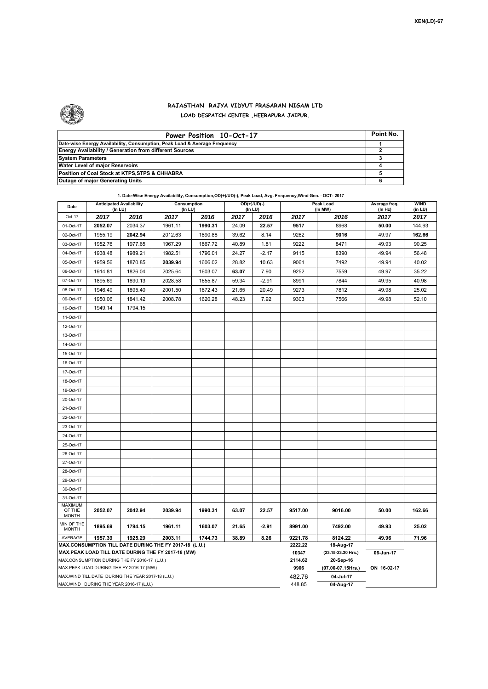

 $\mathbf{r}$ 

## **RAJASTHAN RAJYA VIDYUT PRASARAN NIGAM LTD LOAD DESPATCH CENTER ,HEERAPURA JAIPUR.**

| Power Position 10-Oct-17                                                  | Point No. |
|---------------------------------------------------------------------------|-----------|
| Date-wise Energy Availability, Consumption, Peak Load & Average Frequency |           |
| <b>Energy Availability / Generation from different Sources</b>            |           |
| <b>System Parameters</b>                                                  |           |
| Water Level of major Reservoirs                                           |           |
| Position of Coal Stock at KTPS, STPS & CHHABRA                            |           |
| <b>Outage of major Generating Units</b>                                   |           |

**1. Date-Wise Energy Availability, Consumption,OD(+)/UD(-), Peak Load, Avg. Frequency,Wind Gen. –OCT- 2017 Date Anticipated Availability Consumption** Consumption **COD(+)/UD(-)** Peak Load

| Date                                                                                                         | <b>Anticipated Availability</b><br>Consumption<br>(In LU)<br>(In LU) |         | $OD(+)/UD(-)$<br>(In LU) |         |        |                  | Peak Load<br>(In MW)            | Average freq. | <b>WIND</b><br>(in LU)  |                |  |
|--------------------------------------------------------------------------------------------------------------|----------------------------------------------------------------------|---------|--------------------------|---------|--------|------------------|---------------------------------|---------------|-------------------------|----------------|--|
| Oct-17                                                                                                       | 2017                                                                 | 2016    | 2017                     | 2016    | 2017   | 2016             | 2017                            |               | (In Hz)<br>2016<br>2017 |                |  |
| 01-Oct-17                                                                                                    | 2052.07                                                              | 2034.37 | 1961.11                  | 1990.31 | 24.09  | 22.57            | 9517                            | 8968          | 50.00                   | 2017<br>144.93 |  |
| 02-Oct-17                                                                                                    | 1955.19                                                              | 2042.94 | 2012.63                  | 1890.88 | 39.62  | 8.14             | 9262                            | 9016          | 49.97                   | 162.66         |  |
| 03-Oct-17                                                                                                    | 1952.76                                                              | 1977.65 | 1967.29                  | 1867.72 | 40.89  | 1.81             | 9222                            | 8471          | 49.93                   | 90.25          |  |
| 04-Oct-17                                                                                                    | 1938.48                                                              | 1989.21 | 1982.51                  | 1796.01 | 24.27  | $-2.17$          | 9115                            | 8390          | 49.94                   | 56.48          |  |
| 05-Oct-17                                                                                                    | 1959.56                                                              | 1870.85 | 2039.94                  | 1606.02 | 28.82  | 10.63            | 9061                            | 7492          | 49.94                   | 40.02          |  |
| 06-Oct-17                                                                                                    | 1914.81                                                              | 1826.04 | 2025.64                  | 1603.07 | 63.07  | 7.90             | 9252                            | 7559          | 49.97                   | 35.22          |  |
| 07-Oct-17                                                                                                    | 1895.69                                                              | 1890.13 | 2028.58                  | 1655.87 | 59.34  | $-2.91$          | 8991                            | 7844          | 49.95                   | 40.98          |  |
| 08-Oct-17                                                                                                    | 1946.49                                                              | 1895.40 | 2001.50                  | 1672.43 | 21.65  | 20.49            | 9273                            | 7812          | 49.98                   | 25.02          |  |
| 09-Oct-17                                                                                                    | 1950.06                                                              | 1841.42 | 2008.78                  | 1620.28 | 48.23  | 7.92             | 9303                            | 7566          | 49.98                   | 52.10          |  |
| 10-Oct-17                                                                                                    | 1949.14                                                              | 1794.15 |                          |         |        |                  |                                 |               |                         |                |  |
| 11-Oct-17                                                                                                    |                                                                      |         |                          |         |        |                  |                                 |               |                         |                |  |
| 12-Oct-17                                                                                                    |                                                                      |         |                          |         |        |                  |                                 |               |                         |                |  |
| 13-Oct-17                                                                                                    |                                                                      |         |                          |         |        |                  |                                 |               |                         |                |  |
| 14-Oct-17                                                                                                    |                                                                      |         |                          |         |        |                  |                                 |               |                         |                |  |
| 15-Oct-17                                                                                                    |                                                                      |         |                          |         |        |                  |                                 |               |                         |                |  |
| 16-Oct-17                                                                                                    |                                                                      |         |                          |         |        |                  |                                 |               |                         |                |  |
| 17-Oct-17                                                                                                    |                                                                      |         |                          |         |        |                  |                                 |               |                         |                |  |
| 18-Oct-17                                                                                                    |                                                                      |         |                          |         |        |                  |                                 |               |                         |                |  |
| 19-Oct-17                                                                                                    |                                                                      |         |                          |         |        |                  |                                 |               |                         |                |  |
| 20-Oct-17                                                                                                    |                                                                      |         |                          |         |        |                  |                                 |               |                         |                |  |
| 21-Oct-17                                                                                                    |                                                                      |         |                          |         |        |                  |                                 |               |                         |                |  |
| 22-Oct-17                                                                                                    |                                                                      |         |                          |         |        |                  |                                 |               |                         |                |  |
| 23-Oct-17                                                                                                    |                                                                      |         |                          |         |        |                  |                                 |               |                         |                |  |
| 24-Oct-17                                                                                                    |                                                                      |         |                          |         |        |                  |                                 |               |                         |                |  |
| 25-Oct-17                                                                                                    |                                                                      |         |                          |         |        |                  |                                 |               |                         |                |  |
| 26-Oct-17                                                                                                    |                                                                      |         |                          |         |        |                  |                                 |               |                         |                |  |
| 27-Oct-17                                                                                                    |                                                                      |         |                          |         |        |                  |                                 |               |                         |                |  |
| 28-Oct-17                                                                                                    |                                                                      |         |                          |         |        |                  |                                 |               |                         |                |  |
| 29-Oct-17                                                                                                    |                                                                      |         |                          |         |        |                  |                                 |               |                         |                |  |
| 30-Oct-17                                                                                                    |                                                                      |         |                          |         |        |                  |                                 |               |                         |                |  |
| 31-Oct-17                                                                                                    |                                                                      |         |                          |         |        |                  |                                 |               |                         |                |  |
| <b>MAXIMUM</b><br>OF THE                                                                                     | 2052.07                                                              | 2042.94 | 2039.94                  | 1990.31 | 63.07  | 22.57            | 9517.00                         | 9016.00       | 50.00                   | 162.66         |  |
| <b>MONTH</b>                                                                                                 |                                                                      |         |                          |         |        |                  |                                 |               |                         |                |  |
| MIN OF THE<br><b>MONTH</b>                                                                                   | 1895.69                                                              | 1794.15 | 1961.11                  | 1603.07 | 21.65  | $-2.91$          | 8991.00                         | 7492.00       | 49.93                   | 25.02          |  |
| AVERAGE                                                                                                      | 1957.39                                                              | 1925.29 | 2003.11                  | 1744.73 | 38.89  | 8.26             | 9221.78                         | 8124.22       | 49.96                   | 71.96          |  |
| MAX.CONSUMPTION TILL DATE DURING THE FY 2017-18 (L.U.)<br>MAX.PEAK LOAD TILL DATE DURING THE FY 2017-18 (MW) |                                                                      |         |                          |         |        | 2222.22          | 18-Aug-17                       |               |                         |                |  |
| MAX.CONSUMPTION DURING THE FY 2016-17 (L.U.)                                                                 |                                                                      |         |                          |         |        | 10347<br>2114.62 | (23.15-23.30 Hrs.)<br>20-Sep-16 | 06-Jun-17     |                         |                |  |
| MAX.PEAK LOAD DURING THE FY 2016-17 (MW)                                                                     |                                                                      |         |                          |         |        | 9906             | (07.00-07.15Hrs.)               | ON 16-02-17   |                         |                |  |
| MAX. WIND TILL DATE DURING THE YEAR 2017-18 (L.U.)                                                           |                                                                      |         |                          |         | 482.76 | 04-Jul-17        |                                 |               |                         |                |  |
| MAX.WIND DURING THE YEAR 2016-17 (L.U.)                                                                      |                                                                      |         |                          |         |        | 448.85           | 04-Aug-17                       |               |                         |                |  |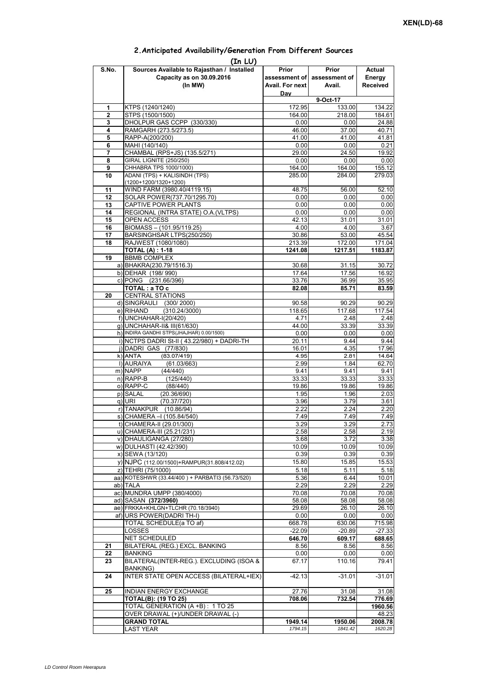| (In LU) |                                                     |                 |                             |                 |  |  |  |  |  |
|---------|-----------------------------------------------------|-----------------|-----------------------------|-----------------|--|--|--|--|--|
| S.No.   | Sources Available to Rajasthan / Installed          | Prior           | Prior                       | Actual          |  |  |  |  |  |
|         | Capacity as on 30.09.2016                           |                 | assessment of assessment of | Energy          |  |  |  |  |  |
|         | (In MW)                                             | Avail. For next | Avail.                      | <b>Received</b> |  |  |  |  |  |
|         |                                                     | Day             |                             |                 |  |  |  |  |  |
|         |                                                     |                 |                             |                 |  |  |  |  |  |
| 1       | KTPS (1240/1240)                                    | 172.95          | 133.00                      | 134.22          |  |  |  |  |  |
| 2       | STPS (1500/1500)                                    | 164.00          | 218.00                      | 184.61          |  |  |  |  |  |
| 3       | DHOLPUR GAS CCPP (330/330)                          | 0.00            | 0.00                        | 24.88           |  |  |  |  |  |
| 4       | RAMGARH (273.5/273.5)                               | 46.00           | 37.00                       | 40.71           |  |  |  |  |  |
| 5       | RAPP-A(200/200)                                     | 41.00           | 41.00                       | 41.81           |  |  |  |  |  |
| 6       | MAHI (140/140)                                      | 0.00            | 0.00                        | 0.21            |  |  |  |  |  |
| 7       | CHAMBAL (RPS+JS) (135.5/271)                        | 29.00           | 24.50                       | 19.92           |  |  |  |  |  |
| 8       | <b>GIRAL LIGNITE (250/250)</b>                      | 0.00            | 0.00                        | 0.00            |  |  |  |  |  |
| 9       | CHHABRA TPS 1000/1000)                              | 164.00          | 164.00                      | 155.12          |  |  |  |  |  |
| 10      | ADANI (TPS) + KALISINDH (TPS)                       | 285.00          | 284.00                      | 279.03          |  |  |  |  |  |
|         | $(1200+1200/1320+1200)$                             |                 |                             |                 |  |  |  |  |  |
| 11      | WIND FARM (3980.40/4119.15)                         | 48.75           | 56.00                       | 52.10           |  |  |  |  |  |
| 12      | SOLAR POWER(737.70/1295.70)                         | 0.00            | 0.00                        | 0.00            |  |  |  |  |  |
| 13      | CAPTIVE POWER PLANTS                                | 0.00            | 0.00                        | 0.00            |  |  |  |  |  |
| 14      | REGIONAL (INTRA STATE) O.A. (VLTPS)                 | 0.00            | 0.00                        | 0.00            |  |  |  |  |  |
| 15      | OPEN ACCESS                                         | 42.13           | 31.01                       | 31.01           |  |  |  |  |  |
| 16      | BIOMASS - (101.95/119.25)                           | 4.00            | 4.00                        | 3.67            |  |  |  |  |  |
| 17      | BARSINGHSAR LTPS(250/250)                           | 30.86           | 53.00                       | 45.54           |  |  |  |  |  |
| 18      | RAJWEST (1080/1080)                                 | 213.39          | 172.00                      | 171.04          |  |  |  |  |  |
|         | <b>TOTAL (A): 1-18</b>                              | 1241.08         | 1217.51                     | 1183.87         |  |  |  |  |  |
| 19      | <b>BBMB COMPLEX</b>                                 |                 |                             |                 |  |  |  |  |  |
|         | a) BHAKRA(230.79/1516.3)                            | 30.68           |                             |                 |  |  |  |  |  |
|         |                                                     |                 | 31.15                       | 30.72           |  |  |  |  |  |
|         | b) DEHAR (198/990)                                  | 17.64           | 17.56                       | 16.92           |  |  |  |  |  |
|         | c) PONG (231.66/396)                                | 33.76           | 36.99                       | 35.95           |  |  |  |  |  |
|         | TOTAL: a TO c                                       | 82.08           | 85.71                       | 83.59           |  |  |  |  |  |
| 20      | <b>CENTRAL STATIONS</b>                             |                 |                             |                 |  |  |  |  |  |
|         | d) SINGRAULI (300/2000)                             | 90.58           | 90.29                       | 90.29           |  |  |  |  |  |
|         | (310.24/3000)<br>e) RIHAND                          | 118.65          | 117.68                      | 117.54          |  |  |  |  |  |
|         | f) UNCHAHAR-I(20/420)                               | 4.71            | 2.48                        | 2.48            |  |  |  |  |  |
|         | g) UNCHAHAR-II& III(61/630)                         | 44.00           | 33.39                       | 33.39           |  |  |  |  |  |
|         | h) INDIRA GANDHI STPS(JHAJHAR) 0.00/1500)           | 0.00            | 0.00                        | 0.00            |  |  |  |  |  |
|         | i) NCTPS DADRI St-II (43.22/980) + DADRI-TH         | 20.11           | 9.44                        | 9.44            |  |  |  |  |  |
|         | j) DADRI GAS (77/830)                               | 16.01           | 4.35                        | 17.96           |  |  |  |  |  |
|         | $k)$ ANTA<br>(83.07/419)                            | 4.95            | 2.81                        | 14.64           |  |  |  |  |  |
|         | I) AURAIYA<br>(61.03/663)                           | 2.99            | 1.84                        | 62.70           |  |  |  |  |  |
|         | m) NAPP<br>(44/440)                                 | 9.41            | 9.41                        | 9.41            |  |  |  |  |  |
|         | $n)$ RAPP-B<br>(125/440)                            | 33.33           | 33.33                       | 33.33           |  |  |  |  |  |
|         | o) RAPP-C<br>(88/440)                               | 19.86           | 19.86                       | 19.86           |  |  |  |  |  |
|         | p) SALAL<br>(20.36/690)                             | 1.95            | 1.96                        | 2.03            |  |  |  |  |  |
|         | (70.37/720)<br>q) URI                               | 3.96            | 3.79                        | 3.61            |  |  |  |  |  |
|         | r) TANAKPUR (10.86/94)                              | 2.22            | 2.24                        | 2.20            |  |  |  |  |  |
|         | s) CHAMERA - (105.84/540)                           | 7.49            | 7.49                        | 7.49            |  |  |  |  |  |
|         | t) CHAMERA-II (29.01/300)                           | 3.29            | 3.29                        | 2.73            |  |  |  |  |  |
|         | u) CHAMERA-III (25.21/231)                          | 2.58            | 2.58                        | 2.19            |  |  |  |  |  |
|         | v) DHAULIGANGA (27/280)                             | 3.68            | 3.72                        | 3.38            |  |  |  |  |  |
|         | w) DULHASTI (42.42/390)                             | 10.09           | 10.09                       | 10.09           |  |  |  |  |  |
|         | x) SEWA (13/120)                                    | 0.39            | 0.39                        | 0.39            |  |  |  |  |  |
|         | y) NJPC (112.00/1500) + RAMPUR(31.808/412.02)       | 15.80           | 15.85                       | 15.53           |  |  |  |  |  |
|         | z) TEHRI (75/1000)                                  | 5.18            | 5.11                        | 5.18            |  |  |  |  |  |
|         | aa) KOTESHWR (33.44/400) + PARBATI3 (56.73/520)     | 5.36            | 6.44                        | 10.01           |  |  |  |  |  |
|         | ab) TALA                                            | 2.29            | 2.29                        | 2.29            |  |  |  |  |  |
|         | ac) MUNDRA UMPP (380/4000)                          |                 |                             |                 |  |  |  |  |  |
|         |                                                     | 70.08           | 70.08                       | 70.08           |  |  |  |  |  |
|         | ad) SASAN (372/3960)                                | 58.08           | 58.08                       | 58.08           |  |  |  |  |  |
|         | ae) FRKKA+KHLGN+TLCHR (70.18/3940)                  | 29.69           | 26.10                       | 26.10           |  |  |  |  |  |
|         | af) URS POWER(DADRI TH-I)                           | 0.00            | 0.00                        | 0.00            |  |  |  |  |  |
|         | TOTAL SCHEDULE(a TO af)                             | 668.78          | 630.06                      | 715.98          |  |  |  |  |  |
|         | LOSSES                                              | $-22.09$        | $-20.89$                    | $-27.33$        |  |  |  |  |  |
|         | NET SCHEDULED                                       | 646.70          | 609.17                      | 688.65          |  |  |  |  |  |
| 21      | BILATERAL (REG.) EXCL. BANKING                      | 8.56            | 8.56                        | 8.56            |  |  |  |  |  |
| 22      | <b>BANKING</b>                                      | 0.00            | 0.00                        | 0.00            |  |  |  |  |  |
| 23      | BILATERAL(INTER-REG.). EXCLUDING (ISOA &            | 67.17           | 110.16                      | 79.41           |  |  |  |  |  |
| 24      | BANKING)<br>INTER STATE OPEN ACCESS (BILATERAL+IEX) | $-42.13$        | $-31.01$                    | $-31.01$        |  |  |  |  |  |
|         |                                                     |                 |                             |                 |  |  |  |  |  |
| 25      | INDIAN ENERGY EXCHANGE                              | 27.76           | 31.08                       | 31.08           |  |  |  |  |  |
|         | <b>TOTAL(B): (19 TO 25)</b>                         | 708.06          | 732.54                      | 776.69          |  |  |  |  |  |
|         | TOTAL GENERATION (A +B) : 1 TO 25                   |                 |                             | 1960.56         |  |  |  |  |  |
|         | OVER DRAWAL (+)/UNDER DRAWAL (-)                    |                 |                             | 48.23           |  |  |  |  |  |
|         | <b>GRAND TOTAL</b>                                  | 1949.14         | 1950.06                     | 2008.78         |  |  |  |  |  |
|         | <b>LAST YEAR</b>                                    | 1794.15         | 1841.42                     | 1620.28         |  |  |  |  |  |

## **2.Anticipated Availability/Generation From Different Sources**